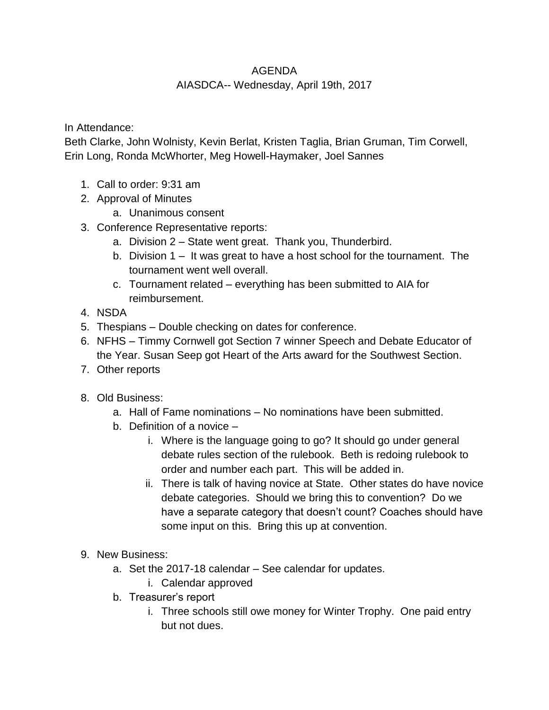## AGENDA

## AIASDCA-- Wednesday, April 19th, 2017

## In Attendance:

Beth Clarke, John Wolnisty, Kevin Berlat, Kristen Taglia, Brian Gruman, Tim Corwell, Erin Long, Ronda McWhorter, Meg Howell-Haymaker, Joel Sannes

- 1. Call to order: 9:31 am
- 2. Approval of Minutes
	- a. Unanimous consent
- 3. Conference Representative reports:
	- a. Division 2 State went great. Thank you, Thunderbird.
	- b. Division 1 It was great to have a host school for the tournament. The tournament went well overall.
	- c. Tournament related everything has been submitted to AIA for reimbursement.
- 4. NSDA
- 5. Thespians Double checking on dates for conference.
- 6. NFHS Timmy Cornwell got Section 7 winner Speech and Debate Educator of the Year. Susan Seep got Heart of the Arts award for the Southwest Section.
- 7. Other reports
- 8. Old Business:
	- a. Hall of Fame nominations No nominations have been submitted.
	- b. Definition of a novice
		- i. Where is the language going to go? It should go under general debate rules section of the rulebook. Beth is redoing rulebook to order and number each part. This will be added in.
		- ii. There is talk of having novice at State. Other states do have novice debate categories. Should we bring this to convention? Do we have a separate category that doesn't count? Coaches should have some input on this. Bring this up at convention.
- 9. New Business:
	- a. Set the 2017-18 calendar See calendar for updates.
		- i. Calendar approved
	- b. Treasurer's report
		- i. Three schools still owe money for Winter Trophy. One paid entry but not dues.